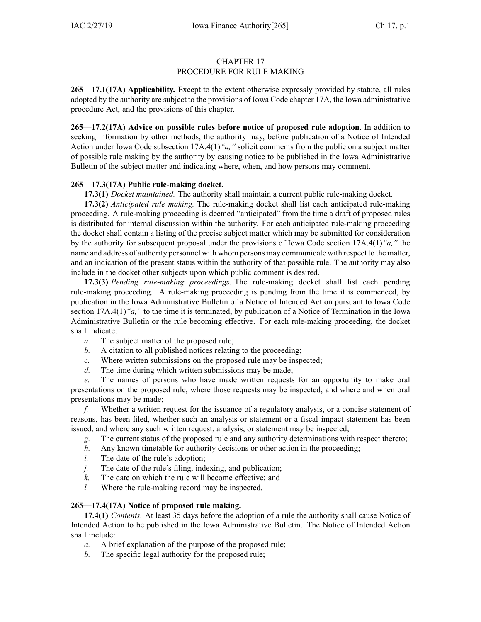## CHAPTER 17

### PROCEDURE FOR RULE MAKING

**265—17.1(17A) Applicability.** Except to the extent otherwise expressly provided by statute, all rules adopted by the authority are subject to the provisions of Iowa Code chapter [17A](https://www.legis.iowa.gov/docs/ico/chapter/17A.pdf), the Iowa administrative procedure Act, and the provisions of this chapter.

**265—17.2(17A) Advice on possible rules before notice of proposed rule adoption.** In addition to seeking information by other methods, the authority may, before publication of <sup>a</sup> Notice of Intended Action under Iowa Code subsection [17A.4\(1\)](https://www.legis.iowa.gov/docs/ico/section/17A.4.pdf)*"a,"* solicit comments from the public on <sup>a</sup> subject matter of possible rule making by the authority by causing notice to be published in the Iowa Administrative Bulletin of the subject matter and indicating where, when, and how persons may comment.

## **265—17.3(17A) Public rule-making docket.**

**17.3(1)** *Docket maintained.* The authority shall maintain <sup>a</sup> current public rule-making docket.

**17.3(2)** *Anticipated rule making.* The rule-making docket shall list each anticipated rule-making proceeding. A rule-making proceeding is deemed "anticipated" from the time <sup>a</sup> draft of proposed rules is distributed for internal discussion within the authority. For each anticipated rule-making proceeding the docket shall contain <sup>a</sup> listing of the precise subject matter which may be submitted for consideration by the authority for subsequent proposal under the provisions of Iowa Code section [17A.4\(1\)](https://www.legis.iowa.gov/docs/ico/section/17A.4.pdf)*"a,"* the name and address of authority personnel with whom persons may communicate with respec<sup>t</sup> to the matter, and an indication of the presen<sup>t</sup> status within the authority of that possible rule. The authority may also include in the docket other subjects upon which public comment is desired.

**17.3(3)** *Pending rule-making proceedings.* The rule-making docket shall list each pending rule-making proceeding. A rule-making proceeding is pending from the time it is commenced, by publication in the Iowa Administrative Bulletin of <sup>a</sup> Notice of Intended Action pursuan<sup>t</sup> to Iowa Code section [17A.4\(1\)](https://www.legis.iowa.gov/docs/ico/section/17A.4.pdf)<sup>*"a,*"</sup> to the time it is terminated, by publication of a Notice of Termination in the Iowa Administrative Bulletin or the rule becoming effective. For each rule-making proceeding, the docket shall indicate:

- *a.* The subject matter of the proposed rule;
- *b.* A citation to all published notices relating to the proceeding;
- *c.* Where written submissions on the proposed rule may be inspected;
- *d.* The time during which written submissions may be made;

*e.* The names of persons who have made written requests for an opportunity to make oral presentations on the proposed rule, where those requests may be inspected, and where and when oral presentations may be made;

*f.* Whether <sup>a</sup> written reques<sup>t</sup> for the issuance of <sup>a</sup> regulatory analysis, or <sup>a</sup> concise statement of reasons, has been filed, whether such an analysis or statement or <sup>a</sup> fiscal impact statement has been issued, and where any such written request, analysis, or statement may be inspected;

- *g.* The current status of the proposed rule and any authority determinations with respec<sup>t</sup> thereto;
- *h.* Any known timetable for authority decisions or other action in the proceeding;
- *i.* The date of the rule's adoption;
- *j.* The date of the rule's filing, indexing, and publication;
- *k.* The date on which the rule will become effective; and
- *l.* Where the rule-making record may be inspected.

### **265—17.4(17A) Notice of proposed rule making.**

**17.4(1)** *Contents.* At least 35 days before the adoption of <sup>a</sup> rule the authority shall cause Notice of Intended Action to be published in the Iowa Administrative Bulletin. The Notice of Intended Action shall include:

- *a.* A brief explanation of the purpose of the proposed rule;
- *b.* The specific legal authority for the proposed rule;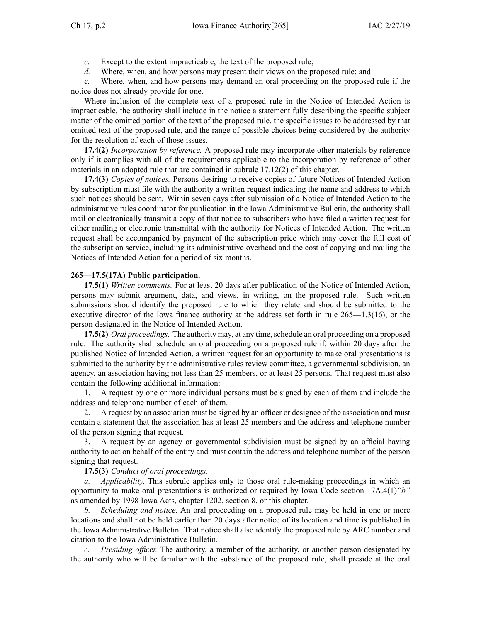*c.* Except to the extent impracticable, the text of the proposed rule;

*d.* Where, when, and how persons may presen<sup>t</sup> their views on the proposed rule; and

*e.* Where, when, and how persons may demand an oral proceeding on the proposed rule if the notice does not already provide for one.

Where inclusion of the complete text of <sup>a</sup> proposed rule in the Notice of Intended Action is impracticable, the authority shall include in the notice <sup>a</sup> statement fully describing the specific subject matter of the omitted portion of the text of the proposed rule, the specific issues to be addressed by that omitted text of the proposed rule, and the range of possible choices being considered by the authority for the resolution of each of those issues.

**17.4(2)** *Incorporation by reference.* A proposed rule may incorporate other materials by reference only if it complies with all of the requirements applicable to the incorporation by reference of other materials in an adopted rule that are contained in subrule [17.12\(2\)](https://www.legis.iowa.gov/docs/iac/rule/265.17.12.pdf) of this chapter.

**17.4(3)** *Copies of notices.* Persons desiring to receive copies of future Notices of Intended Action by subscription must file with the authority <sup>a</sup> written reques<sup>t</sup> indicating the name and address to which such notices should be sent. Within seven days after submission of <sup>a</sup> Notice of Intended Action to the administrative rules coordinator for publication in the Iowa Administrative Bulletin, the authority shall mail or electronically transmit <sup>a</sup> copy of that notice to subscribers who have filed <sup>a</sup> written reques<sup>t</sup> for either mailing or electronic transmittal with the authority for Notices of Intended Action. The written reques<sup>t</sup> shall be accompanied by paymen<sup>t</sup> of the subscription price which may cover the full cost of the subscription service, including its administrative overhead and the cost of copying and mailing the Notices of Intended Action for <sup>a</sup> period of six months.

## **265—17.5(17A) Public participation.**

**17.5(1)** *Written comments.* For at least 20 days after publication of the Notice of Intended Action, persons may submit argument, data, and views, in writing, on the proposed rule. Such written submissions should identify the proposed rule to which they relate and should be submitted to the executive director of the Iowa finance authority at the address set forth in rule 265—1.3(16), or the person designated in the Notice of Intended Action.

**17.5(2)** *Oral proceedings.* The authority may, at any time, schedule an oral proceeding on a proposed rule. The authority shall schedule an oral proceeding on <sup>a</sup> proposed rule if, within 20 days after the published Notice of Intended Action, <sup>a</sup> written reques<sup>t</sup> for an opportunity to make oral presentations is submitted to the authority by the administrative rules review committee, <sup>a</sup> governmental subdivision, an agency, an association having not less than 25 members, or at least 25 persons. That reques<sup>t</sup> must also contain the following additional information:

1. A reques<sup>t</sup> by one or more individual persons must be signed by each of them and include the address and telephone number of each of them.

2. A reques<sup>t</sup> by an association must be signed by an officer or designee of the association and must contain <sup>a</sup> statement that the association has at least 25 members and the address and telephone number of the person signing that request.

3. A reques<sup>t</sup> by an agency or governmental subdivision must be signed by an official having authority to act on behalf of the entity and must contain the address and telephone number of the person signing that request.

# **17.5(3)** *Conduct of oral proceedings.*

*a. Applicability.* This subrule applies only to those oral rule-making proceedings in which an opportunity to make oral presentations is authorized or required by Iowa Code section [17A.4\(1\)](https://www.legis.iowa.gov/docs/ico/section/17A.4.pdf)*"b"* as amended by 1998 Iowa Acts, chapter 1202, section 8, or this chapter.

*b. Scheduling and notice.* An oral proceeding on <sup>a</sup> proposed rule may be held in one or more locations and shall not be held earlier than 20 days after notice of its location and time is published in the Iowa Administrative Bulletin. That notice shall also identify the proposed rule by ARC number and citation to the Iowa Administrative Bulletin.

*c. Presiding officer.* The authority, <sup>a</sup> member of the authority, or another person designated by the authority who will be familiar with the substance of the proposed rule, shall preside at the oral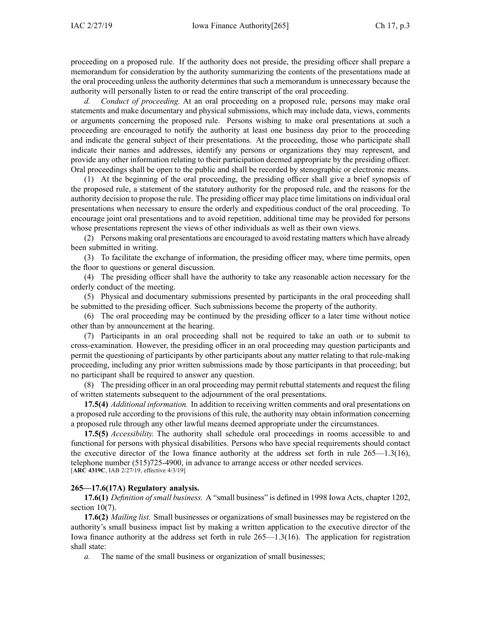proceeding on <sup>a</sup> proposed rule. If the authority does not preside, the presiding officer shall prepare <sup>a</sup> memorandum for consideration by the authority summarizing the contents of the presentations made at the oral proceeding unless the authority determines that such <sup>a</sup> memorandum is unnecessary because the authority will personally listen to or read the entire transcript of the oral proceeding.

*d. Conduct of proceeding.* At an oral proceeding on <sup>a</sup> proposed rule, persons may make oral statements and make documentary and physical submissions, which may include data, views, comments or arguments concerning the proposed rule. Persons wishing to make oral presentations at such <sup>a</sup> proceeding are encouraged to notify the authority at least one business day prior to the proceeding and indicate the general subject of their presentations. At the proceeding, those who participate shall indicate their names and addresses, identify any persons or organizations they may represent, and provide any other information relating to their participation deemed appropriate by the presiding officer. Oral proceedings shall be open to the public and shall be recorded by stenographic or electronic means.

(1) At the beginning of the oral proceeding, the presiding officer shall give <sup>a</sup> brief synopsis of the proposed rule, <sup>a</sup> statement of the statutory authority for the proposed rule, and the reasons for the authority decision to propose the rule. The presiding officer may place time limitations on individual oral presentations when necessary to ensure the orderly and expeditious conduct of the oral proceeding. To encourage joint oral presentations and to avoid repetition, additional time may be provided for persons whose presentations represen<sup>t</sup> the views of other individuals as well as their own views.

(2) Persons making oral presentations are encouraged to avoid restating matters which have already been submitted in writing.

(3) To facilitate the exchange of information, the presiding officer may, where time permits, open the floor to questions or general discussion.

(4) The presiding officer shall have the authority to take any reasonable action necessary for the orderly conduct of the meeting.

(5) Physical and documentary submissions presented by participants in the oral proceeding shall be submitted to the presiding officer. Such submissions become the property of the authority.

(6) The oral proceeding may be continued by the presiding officer to <sup>a</sup> later time without notice other than by announcement at the hearing.

(7) Participants in an oral proceeding shall not be required to take an oath or to submit to cross-examination. However, the presiding officer in an oral proceeding may question participants and permit the questioning of participants by other participants about any matter relating to that rule-making proceeding, including any prior written submissions made by those participants in that proceeding; but no participant shall be required to answer any question.

(8) The presiding officer in an oral proceeding may permit rebuttal statements and reques<sup>t</sup> the filing of written statements subsequent to the adjournment of the oral presentations.

**17.5(4)** *Additional information.* In addition to receiving written comments and oral presentations on <sup>a</sup> proposed rule according to the provisions of this rule, the authority may obtain information concerning <sup>a</sup> proposed rule through any other lawful means deemed appropriate under the circumstances.

**17.5(5)** *Accessibility.* The authority shall schedule oral proceedings in rooms accessible to and functional for persons with physical disabilities. Persons who have special requirements should contact the executive director of the Iowa finance authority at the address set forth in rule 265—1.3(16), telephone number (515)725-4900, in advance to arrange access or other needed services. [**ARC [4319C](https://www.legis.iowa.gov/docs/aco/arc/4319C.pdf)**, IAB 2/27/19, effective 4/3/19]

#### **265—17.6(17A) Regulatory analysis.**

**17.6(1)** *Definition of small business.* A "small business" is defined in 1998 Iowa Acts, chapter 1202, section  $10(7)$ .

**17.6(2)** *Mailing list.* Small businesses or organizations of small businesses may be registered on the authority's small business impact list by making <sup>a</sup> written application to the executive director of the Iowa finance authority at the address set forth in rule 265—1.3(16). The application for registration shall state:

*a.* The name of the small business or organization of small businesses;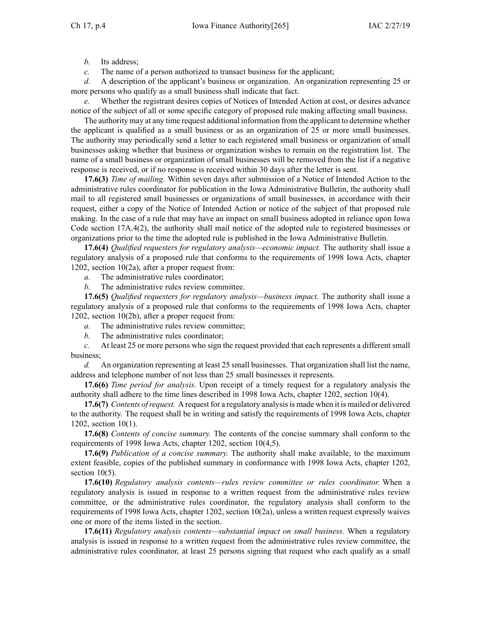*b.* Its address;

*c.* The name of <sup>a</sup> person authorized to transact business for the applicant;

*d.* A description of the applicant's business or organization. An organization representing 25 or more persons who qualify as <sup>a</sup> small business shall indicate that fact.

*e.* Whether the registrant desires copies of Notices of Intended Action at cost, or desires advance notice of the subject of all or some specific category of proposed rule making affecting small business.

The authority may at any time reques<sup>t</sup> additional information from the applicant to determine whether the applicant is qualified as <sup>a</sup> small business or as an organization of 25 or more small businesses. The authority may periodically send <sup>a</sup> letter to each registered small business or organization of small businesses asking whether that business or organization wishes to remain on the registration list. The name of <sup>a</sup> small business or organization of small businesses will be removed from the list if <sup>a</sup> negative response is received, or if no response is received within 30 days after the letter is sent.

**17.6(3)** *Time of mailing.* Within seven days after submission of <sup>a</sup> Notice of Intended Action to the administrative rules coordinator for publication in the Iowa Administrative Bulletin, the authority shall mail to all registered small businesses or organizations of small businesses, in accordance with their request, either <sup>a</sup> copy of the Notice of Intended Action or notice of the subject of that proposed rule making. In the case of <sup>a</sup> rule that may have an impact on small business adopted in reliance upon Iowa Code section [17A.4\(2\)](https://www.legis.iowa.gov/docs/ico/section/17A.4.pdf), the authority shall mail notice of the adopted rule to registered businesses or organizations prior to the time the adopted rule is published in the Iowa Administrative Bulletin.

**17.6(4)** *Qualified requesters for regulatory analysis—economic impact.* The authority shall issue <sup>a</sup> regulatory analysis of <sup>a</sup> proposed rule that conforms to the requirements of 1998 Iowa Acts, chapter 1202, section 10(2a), after <sup>a</sup> proper reques<sup>t</sup> from:

*a.* The administrative rules coordinator;

*b.* The administrative rules review committee.

**17.6(5)** *Qualified requesters for regulatory analysis—business impact.* The authority shall issue <sup>a</sup> regulatory analysis of <sup>a</sup> proposed rule that conforms to the requirements of 1998 Iowa Acts, chapter 1202, section 10(2b), after <sup>a</sup> proper reques<sup>t</sup> from:

*a.* The administrative rules review committee;

*b.* The administrative rules coordinator;

*c.* At least 25 or more persons who sign the reques<sup>t</sup> provided that each represents <sup>a</sup> different small business;

*d.* An organization representing at least 25 small businesses. That organization shall list the name, address and telephone number of not less than 25 small businesses it represents.

**17.6(6)** *Time period for analysis.* Upon receipt of <sup>a</sup> timely reques<sup>t</sup> for <sup>a</sup> regulatory analysis the authority shall adhere to the time lines described in 1998 Iowa Acts, chapter 1202, section 10(4).

**17.6(7)** *Contents ofrequest.* A reques<sup>t</sup> for <sup>a</sup> regulatory analysisis made when it is mailed or delivered to the authority. The reques<sup>t</sup> shall be in writing and satisfy the requirements of 1998 Iowa Acts, chapter 1202, section 10(1).

**17.6(8)** *Contents of concise summary.* The contents of the concise summary shall conform to the requirements of 1998 Iowa Acts, chapter 1202, section 10(4,5).

**17.6(9)** *Publication of <sup>a</sup> concise summary.* The authority shall make available, to the maximum extent feasible, copies of the published summary in conformance with 1998 Iowa Acts, chapter 1202, section  $10(5)$ .

**17.6(10)** *Regulatory analysis contents—rules review committee or rules coordinator.* When <sup>a</sup> regulatory analysis is issued in response to <sup>a</sup> written reques<sup>t</sup> from the administrative rules review committee, or the administrative rules coordinator, the regulatory analysis shall conform to the requirements of 1998 Iowa Acts, chapter 1202, section 10(2a), unless <sup>a</sup> written reques<sup>t</sup> expressly waives one or more of the items listed in the section.

**17.6(11)** *Regulatory analysis contents—substantial impact on small business.* When <sup>a</sup> regulatory analysis is issued in response to <sup>a</sup> written reques<sup>t</sup> from the administrative rules review committee, the administrative rules coordinator, at least 25 persons signing that reques<sup>t</sup> who each qualify as <sup>a</sup> small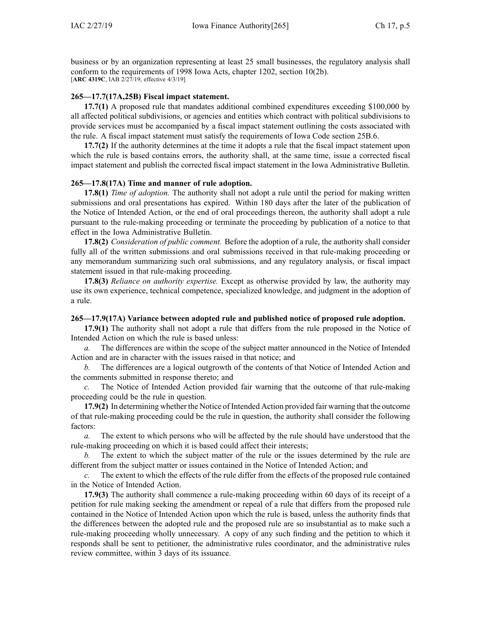business or by an organization representing at least 25 small businesses, the regulatory analysis shall conform to the requirements of 1998 Iowa Acts, chapter 1202, section 10(2b). [**ARC [4319C](https://www.legis.iowa.gov/docs/aco/arc/4319C.pdf)**, IAB 2/27/19, effective 4/3/19]

### **265—17.7(17A,25B) Fiscal impact statement.**

**17.7(1)** A proposed rule that mandates additional combined expenditures exceeding \$100,000 by all affected political subdivisions, or agencies and entities which contract with political subdivisions to provide services must be accompanied by <sup>a</sup> fiscal impact statement outlining the costs associated with the rule. A fiscal impact statement must satisfy the requirements of Iowa Code section [25B.6](https://www.legis.iowa.gov/docs/ico/section/25B.6.pdf).

**17.7(2)** If the authority determines at the time it adopts <sup>a</sup> rule that the fiscal impact statement upon which the rule is based contains errors, the authority shall, at the same time, issue <sup>a</sup> corrected fiscal impact statement and publish the corrected fiscal impact statement in the Iowa Administrative Bulletin.

#### **265—17.8(17A) Time and manner of rule adoption.**

**17.8(1)** *Time of adoption.* The authority shall not adopt <sup>a</sup> rule until the period for making written submissions and oral presentations has expired. Within 180 days after the later of the publication of the Notice of Intended Action, or the end of oral proceedings thereon, the authority shall adopt <sup>a</sup> rule pursuan<sup>t</sup> to the rule-making proceeding or terminate the proceeding by publication of <sup>a</sup> notice to that effect in the Iowa Administrative Bulletin.

**17.8(2)** *Consideration of public comment.* Before the adoption of <sup>a</sup> rule, the authority shall consider fully all of the written submissions and oral submissions received in that rule-making proceeding or any memorandum summarizing such oral submissions, and any regulatory analysis, or fiscal impact statement issued in that rule-making proceeding.

**17.8(3)** *Reliance on authority expertise.* Except as otherwise provided by law, the authority may use its own experience, technical competence, specialized knowledge, and judgment in the adoption of <sup>a</sup> rule.

#### **265—17.9(17A) Variance between adopted rule and published notice of proposed rule adoption.**

**17.9(1)** The authority shall not adopt <sup>a</sup> rule that differs from the rule proposed in the Notice of Intended Action on which the rule is based unless:

*a.* The differences are within the scope of the subject matter announced in the Notice of Intended Action and are in character with the issues raised in that notice; and

*b.* The differences are <sup>a</sup> logical outgrowth of the contents of that Notice of Intended Action and the comments submitted in response thereto; and

*c.* The Notice of Intended Action provided fair warning that the outcome of that rule-making proceeding could be the rule in question.

**17.9(2)** In determining whether the Notice of Intended Action provided fair warning that the outcome of that rule-making proceeding could be the rule in question, the authority shall consider the following factors:

*a.* The extent to which persons who will be affected by the rule should have understood that the rule-making proceeding on which it is based could affect their interests;

*b.* The extent to which the subject matter of the rule or the issues determined by the rule are different from the subject matter or issues contained in the Notice of Intended Action; and

*c.* The extent to which the effects of the rule differ from the effects of the proposed rule contained in the Notice of Intended Action.

**17.9(3)** The authority shall commence <sup>a</sup> rule-making proceeding within 60 days of its receipt of <sup>a</sup> petition for rule making seeking the amendment or repeal of <sup>a</sup> rule that differs from the proposed rule contained in the Notice of Intended Action upon which the rule is based, unless the authority finds that the differences between the adopted rule and the proposed rule are so insubstantial as to make such <sup>a</sup> rule-making proceeding wholly unnecessary. A copy of any such finding and the petition to which it responds shall be sent to petitioner, the administrative rules coordinator, and the administrative rules review committee, within 3 days of its issuance.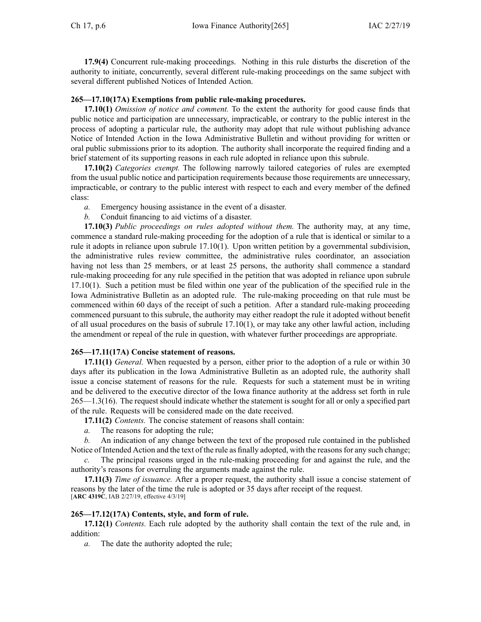**17.9(4)** Concurrent rule-making proceedings. Nothing in this rule disturbs the discretion of the authority to initiate, concurrently, several different rule-making proceedings on the same subject with several different published Notices of Intended Action.

## **265—17.10(17A) Exemptions from public rule-making procedures.**

**17.10(1)** *Omission of notice and comment.* To the extent the authority for good cause finds that public notice and participation are unnecessary, impracticable, or contrary to the public interest in the process of adopting <sup>a</sup> particular rule, the authority may adopt that rule without publishing advance Notice of Intended Action in the Iowa Administrative Bulletin and without providing for written or oral public submissions prior to its adoption. The authority shall incorporate the required finding and <sup>a</sup> brief statement of its supporting reasons in each rule adopted in reliance upon this subrule.

**17.10(2)** *Categories exempt.* The following narrowly tailored categories of rules are exempted from the usual public notice and participation requirements because those requirements are unnecessary, impracticable, or contrary to the public interest with respec<sup>t</sup> to each and every member of the defined class:

- *a.* Emergency housing assistance in the event of <sup>a</sup> disaster.
- *b.* Conduit financing to aid victims of <sup>a</sup> disaster.

**17.10(3)** *Public proceedings on rules adopted without them.* The authority may, at any time, commence <sup>a</sup> standard rule-making proceeding for the adoption of <sup>a</sup> rule that is identical or similar to <sup>a</sup> rule it adopts in reliance upon subrule [17.10\(1\)](https://www.legis.iowa.gov/docs/iac/rule/265.17.10.pdf). Upon written petition by <sup>a</sup> governmental subdivision, the administrative rules review committee, the administrative rules coordinator, an association having not less than 25 members, or at least 25 persons, the authority shall commence <sup>a</sup> standard rule-making proceeding for any rule specified in the petition that was adopted in reliance upon [subrule](https://www.legis.iowa.gov/docs/iac/rule/265.17.10.pdf) [17.10\(1\)](https://www.legis.iowa.gov/docs/iac/rule/265.17.10.pdf). Such <sup>a</sup> petition must be filed within one year of the publication of the specified rule in the Iowa Administrative Bulletin as an adopted rule. The rule-making proceeding on that rule must be commenced within 60 days of the receipt of such <sup>a</sup> petition. After <sup>a</sup> standard rule-making proceeding commenced pursuan<sup>t</sup> to this subrule, the authority may either readopt the rule it adopted without benefit of all usual procedures on the basis of subrule [17.10\(1\)](https://www.legis.iowa.gov/docs/iac/rule/265.17.10.pdf), or may take any other lawful action, including the amendment or repeal of the rule in question, with whatever further proceedings are appropriate.

# **265—17.11(17A) Concise statement of reasons.**

**17.11(1)** *General.* When requested by <sup>a</sup> person, either prior to the adoption of <sup>a</sup> rule or within 30 days after its publication in the Iowa Administrative Bulletin as an adopted rule, the authority shall issue <sup>a</sup> concise statement of reasons for the rule. Requests for such <sup>a</sup> statement must be in writing and be delivered to the executive director of the Iowa finance authority at the address set forth in rule 265—1.3(16). The reques<sup>t</sup> should indicate whether the statement is sought for all or only <sup>a</sup> specified par<sup>t</sup> of the rule. Requests will be considered made on the date received.

**17.11(2)** *Contents.* The concise statement of reasons shall contain:

*a.* The reasons for adopting the rule;

*b.* An indication of any change between the text of the proposed rule contained in the published Notice of Intended Action and the text of the rule as finally adopted, with the reasons for any such change;

The principal reasons urged in the rule-making proceeding for and against the rule, and the authority's reasons for overruling the arguments made against the rule.

**17.11(3)** *Time of issuance.* After <sup>a</sup> proper request, the authority shall issue <sup>a</sup> concise statement of reasons by the later of the time the rule is adopted or 35 days after receipt of the request. [**ARC [4319C](https://www.legis.iowa.gov/docs/aco/arc/4319C.pdf)**, IAB 2/27/19, effective 4/3/19]

# **265—17.12(17A) Contents, style, and form of rule.**

**17.12(1)** *Contents.* Each rule adopted by the authority shall contain the text of the rule and, in addition:

*a.* The date the authority adopted the rule;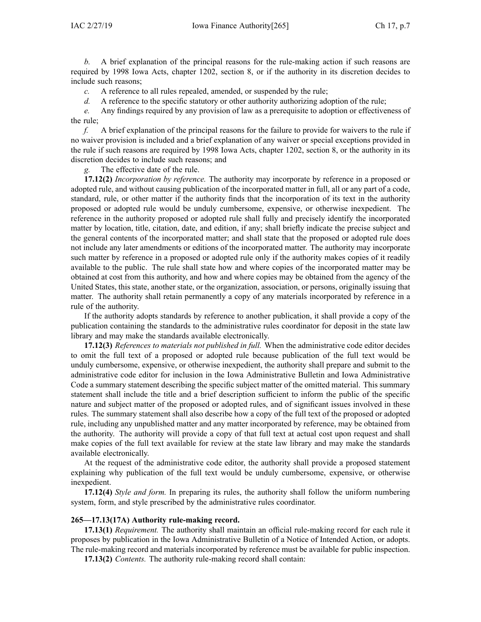*b.* A brief explanation of the principal reasons for the rule-making action if such reasons are required by 1998 Iowa Acts, chapter 1202, section 8, or if the authority in its discretion decides to include such reasons;

*c.* A reference to all rules repealed, amended, or suspended by the rule;

*d.* A reference to the specific statutory or other authority authorizing adoption of the rule;

*e.* Any findings required by any provision of law as <sup>a</sup> prerequisite to adoption or effectiveness of the rule;

*f.* A brief explanation of the principal reasons for the failure to provide for waivers to the rule if no waiver provision is included and <sup>a</sup> brief explanation of any waiver or special exceptions provided in the rule if such reasons are required by 1998 Iowa Acts, chapter 1202, section 8, or the authority in its discretion decides to include such reasons; and

*g.* The effective date of the rule.

**17.12(2)** *Incorporation by reference.* The authority may incorporate by reference in <sup>a</sup> proposed or adopted rule, and without causing publication of the incorporated matter in full, all or any par<sup>t</sup> of <sup>a</sup> code, standard, rule, or other matter if the authority finds that the incorporation of its text in the authority proposed or adopted rule would be unduly cumbersome, expensive, or otherwise inexpedient. The reference in the authority proposed or adopted rule shall fully and precisely identify the incorporated matter by location, title, citation, date, and edition, if any; shall briefly indicate the precise subject and the general contents of the incorporated matter; and shall state that the proposed or adopted rule does not include any later amendments or editions of the incorporated matter. The authority may incorporate such matter by reference in <sup>a</sup> proposed or adopted rule only if the authority makes copies of it readily available to the public. The rule shall state how and where copies of the incorporated matter may be obtained at cost from this authority, and how and where copies may be obtained from the agency of the United States, this state, another state, or the organization, association, or persons, originally issuing that matter. The authority shall retain permanently <sup>a</sup> copy of any materials incorporated by reference in <sup>a</sup> rule of the authority.

If the authority adopts standards by reference to another publication, it shall provide <sup>a</sup> copy of the publication containing the standards to the administrative rules coordinator for deposit in the state law library and may make the standards available electronically.

**17.12(3)** *References to materials not published in full.* When the administrative code editor decides to omit the full text of <sup>a</sup> proposed or adopted rule because publication of the full text would be unduly cumbersome, expensive, or otherwise inexpedient, the authority shall prepare and submit to the administrative code editor for inclusion in the Iowa Administrative Bulletin and Iowa Administrative Code <sup>a</sup> summary statement describing the specific subject matter of the omitted material. This summary statement shall include the title and <sup>a</sup> brief description sufficient to inform the public of the specific nature and subject matter of the proposed or adopted rules, and of significant issues involved in these rules. The summary statement shall also describe how <sup>a</sup> copy of the full text of the proposed or adopted rule, including any unpublished matter and any matter incorporated by reference, may be obtained from the authority. The authority will provide <sup>a</sup> copy of that full text at actual cost upon reques<sup>t</sup> and shall make copies of the full text available for review at the state law library and may make the standards available electronically.

At the reques<sup>t</sup> of the administrative code editor, the authority shall provide <sup>a</sup> proposed statement explaining why publication of the full text would be unduly cumbersome, expensive, or otherwise inexpedient.

**17.12(4)** *Style and form.* In preparing its rules, the authority shall follow the uniform numbering system, form, and style prescribed by the administrative rules coordinator.

#### **265—17.13(17A) Authority rule-making record.**

**17.13(1)** *Requirement.* The authority shall maintain an official rule-making record for each rule it proposes by publication in the Iowa Administrative Bulletin of <sup>a</sup> Notice of Intended Action, or adopts. The rule-making record and materials incorporated by reference must be available for public inspection.

**17.13(2)** *Contents.* The authority rule-making record shall contain: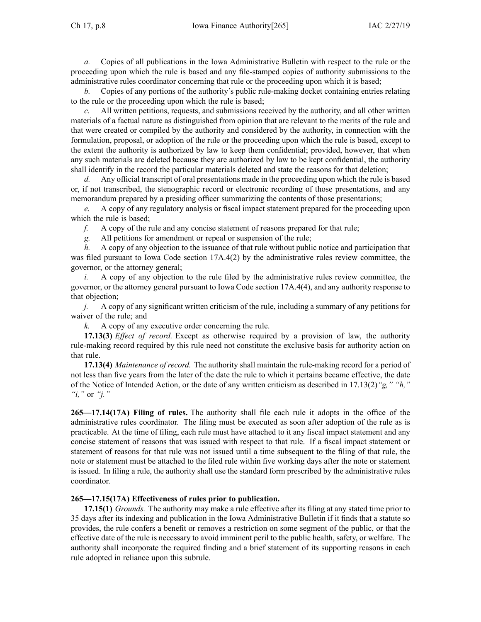*a.* Copies of all publications in the Iowa Administrative Bulletin with respec<sup>t</sup> to the rule or the proceeding upon which the rule is based and any file-stamped copies of authority submissions to the administrative rules coordinator concerning that rule or the proceeding upon which it is based;

*b.* Copies of any portions of the authority's public rule-making docket containing entries relating to the rule or the proceeding upon which the rule is based;

*c.* All written petitions, requests, and submissions received by the authority, and all other written materials of <sup>a</sup> factual nature as distinguished from opinion that are relevant to the merits of the rule and that were created or compiled by the authority and considered by the authority, in connection with the formulation, proposal, or adoption of the rule or the proceeding upon which the rule is based, excep<sup>t</sup> to the extent the authority is authorized by law to keep them confidential; provided, however, that when any such materials are deleted because they are authorized by law to be kept confidential, the authority shall identify in the record the particular materials deleted and state the reasons for that deletion;

*d.* Any official transcript of oral presentations made in the proceeding upon which the rule is based or, if not transcribed, the stenographic record or electronic recording of those presentations, and any memorandum prepared by <sup>a</sup> presiding officer summarizing the contents of those presentations;

*e.* A copy of any regulatory analysis or fiscal impact statement prepared for the proceeding upon which the rule is based;

*f.* A copy of the rule and any concise statement of reasons prepared for that rule;

*g.* All petitions for amendment or repeal or suspension of the rule;

*h.* A copy of any objection to the issuance of that rule without public notice and participation that was filed pursuant to Iowa Code section  $17A.4(2)$  by the administrative rules review committee, the governor, or the attorney general;

*i.* A copy of any objection to the rule filed by the administrative rules review committee, the governor, or the attorney general pursuan<sup>t</sup> to Iowa Code section [17A.4\(4\)](https://www.legis.iowa.gov/docs/ico/section/17A.4.pdf), and any authority response to that objection;

*j.* A copy of any significant written criticism of the rule, including <sup>a</sup> summary of any petitions for waiver of the rule; and

*k.* A copy of any executive order concerning the rule.

**17.13(3)** *Effect of record.* Except as otherwise required by <sup>a</sup> provision of law, the authority rule-making record required by this rule need not constitute the exclusive basis for authority action on that rule.

**17.13(4)** *Maintenance of record.* The authority shall maintain the rule-making record for <sup>a</sup> period of not less than five years from the later of the date the rule to which it pertains became effective, the date of the Notice of Intended Action, or the date of any written criticism as described in [17.13\(2\)](https://www.legis.iowa.gov/docs/iac/rule/265.17.13.pdf)*"g," "h," "i,"* or *"j."*

**265—17.14(17A) Filing of rules.** The authority shall file each rule it adopts in the office of the administrative rules coordinator. The filing must be executed as soon after adoption of the rule as is practicable. At the time of filing, each rule must have attached to it any fiscal impact statement and any concise statement of reasons that was issued with respec<sup>t</sup> to that rule. If <sup>a</sup> fiscal impact statement or statement of reasons for that rule was not issued until <sup>a</sup> time subsequent to the filing of that rule, the note or statement must be attached to the filed rule within five working days after the note or statement is issued. In filing <sup>a</sup> rule, the authority shall use the standard form prescribed by the administrative rules coordinator.

# **265—17.15(17A) Effectiveness of rules prior to publication.**

**17.15(1)** *Grounds.* The authority may make <sup>a</sup> rule effective after its filing at any stated time prior to 35 days after its indexing and publication in the Iowa Administrative Bulletin if it finds that <sup>a</sup> statute so provides, the rule confers <sup>a</sup> benefit or removes <sup>a</sup> restriction on some segmen<sup>t</sup> of the public, or that the effective date of the rule is necessary to avoid imminent peril to the public health, safety, or welfare. The authority shall incorporate the required finding and <sup>a</sup> brief statement of its supporting reasons in each rule adopted in reliance upon this subrule.